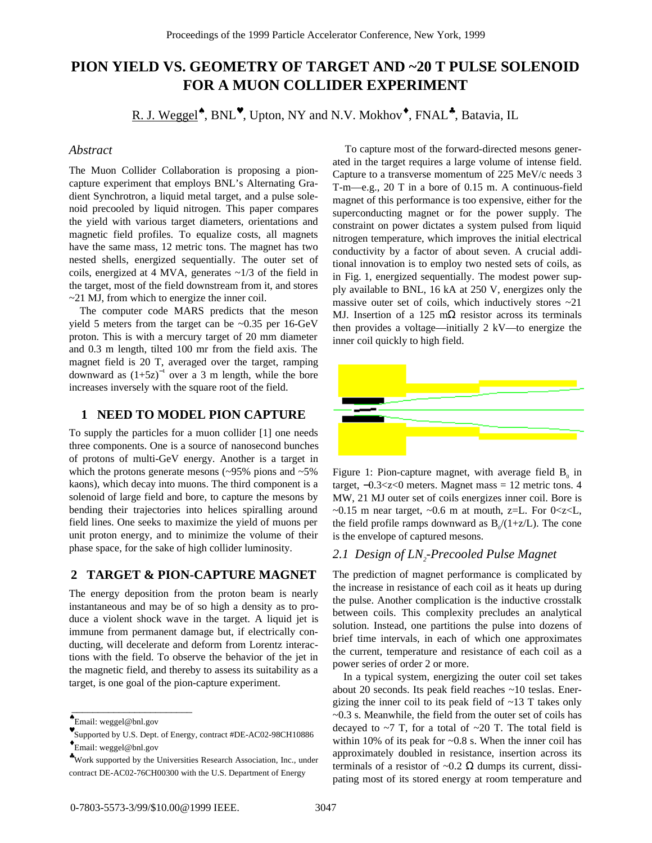# **PION YIELD VS. GEOMETRY OF TARGET AND ~20 T PULSE SOLENOID FOR A MUON COLLIDER EXPERIMENT**

R. J. Weggel<sup>\*</sup>, BNL<sup>\*</sup>, Upton, NY and N.V. Mokhov<sup>\*</sup>, FNAL<sup>\*</sup>, Batavia, IL

#### *Abstract*

The Muon Collider Collaboration is proposing a pioncapture experiment that employs BNL's Alternating Gradient Synchrotron, a liquid metal target, and a pulse solenoid precooled by liquid nitrogen. This paper compares the yield with various target diameters, orientations and magnetic field profiles. To equalize costs, all magnets have the same mass, 12 metric tons. The magnet has two nested shells, energized sequentially. The outer set of coils, energized at 4 MVA, generates ~1/3 of the field in the target, most of the field downstream from it, and stores ~21 MJ, from which to energize the inner coil.

 The computer code MARS predicts that the meson yield 5 meters from the target can be ~0.35 per 16-GeV proton. This is with a mercury target of 20 mm diameter and 0.3 m length, tilted 100 mr from the field axis. The magnet field is 20 T, averaged over the target, ramping downward as  $(1+5z)^{-1}$  over a 3 m length, while the bore increases inversely with the square root of the field.

# **1 NEED TO MODEL PION CAPTURE**

To supply the particles for a muon collider [1] one needs three components. One is a source of nanosecond bunches of protons of multi-GeV energy. Another is a target in which the protons generate mesons  $(\sim 95\%$  pions and  $\sim 5\%$ kaons), which decay into muons. The third component is a solenoid of large field and bore, to capture the mesons by bending their trajectories into helices spiralling around field lines. One seeks to maximize the yield of muons per unit proton energy, and to minimize the volume of their phase space, for the sake of high collider luminosity.

### **2 TARGET & PION-CAPTURE MAGNET**

The energy deposition from the proton beam is nearly instantaneous and may be of so high a density as to produce a violent shock wave in the target. A liquid jet is immune from permanent damage but, if electrically conducting, will decelerate and deform from Lorentz interactions with the field. To observe the behavior of the jet in the magnetic field, and thereby to assess its suitability as a target, is one goal of the pion-capture experiment.

 $\overline{\phantom{a}}$  , where the contract of the contract of the contract of the contract of the contract of the contract of the contract of the contract of the contract of the contract of the contract of the contract of the contr

 To capture most of the forward-directed mesons generated in the target requires a large volume of intense field. Capture to a transverse momentum of 225 MeV/c needs 3 T-m—e.g., 20 T in a bore of 0.15 m. A continuous-field magnet of this performance is too expensive, either for the superconducting magnet or for the power supply. The constraint on power dictates a system pulsed from liquid nitrogen temperature, which improves the initial electrical conductivity by a factor of about seven. A crucial additional innovation is to employ two nested sets of coils, as in Fig. 1, energized sequentially. The modest power supply available to BNL, 16 kA at 250 V, energizes only the massive outer set of coils, which inductively stores  $\sim 21$ MJ. Insertion of a 125 m $\Omega$  resistor across its terminals then provides a voltage—initially 2 kV—to energize the inner coil quickly to high field.



Figure 1: Pion-capture magnet, with average field  $B_0$  in target, −0.3<z<0 meters. Magnet mass = 12 metric tons. 4 MW, 21 MJ outer set of coils energizes inner coil. Bore is ~0.15 m near target, ~0.6 m at mouth, z=L. For  $0 \lt z \lt L$ , the field profile ramps downward as  $B_0/(1+z/L)$ . The cone is the envelope of captured mesons.

#### 2.1 Design of LN<sub>2</sub>-Precooled Pulse Magnet

The prediction of magnet performance is complicated by the increase in resistance of each coil as it heats up during the pulse. Another complication is the inductive crosstalk between coils. This complexity precludes an analytical solution. Instead, one partitions the pulse into dozens of brief time intervals, in each of which one approximates the current, temperature and resistance of each coil as a power series of order 2 or more.

 In a typical system, energizing the outer coil set takes about 20 seconds. Its peak field reaches ~10 teslas. Energizing the inner coil to its peak field of  $\sim$ 13 T takes only ~0.3 s. Meanwhile, the field from the outer set of coils has decayed to  $\sim$ 7 T, for a total of  $\sim$ 20 T. The total field is within 10% of its peak for ~0.8 s. When the inner coil has approximately doubled in resistance, insertion across its terminals of a resistor of  $\sim 0.2 \Omega$  dumps its current, dissipating most of its stored energy at room temperature and

<sup>♠</sup>Email: weggel@bnl.gov

<sup>♥</sup>Supported by U.S. Dept. of Energy, contract #DE-AC02-98CH10886 ♦Email: weggel@bnl.gov

<sup>♣</sup>Work supported by the Universities Research Association, Inc., under contract DE-AC02-76CH00300 with the U.S. Department of Energy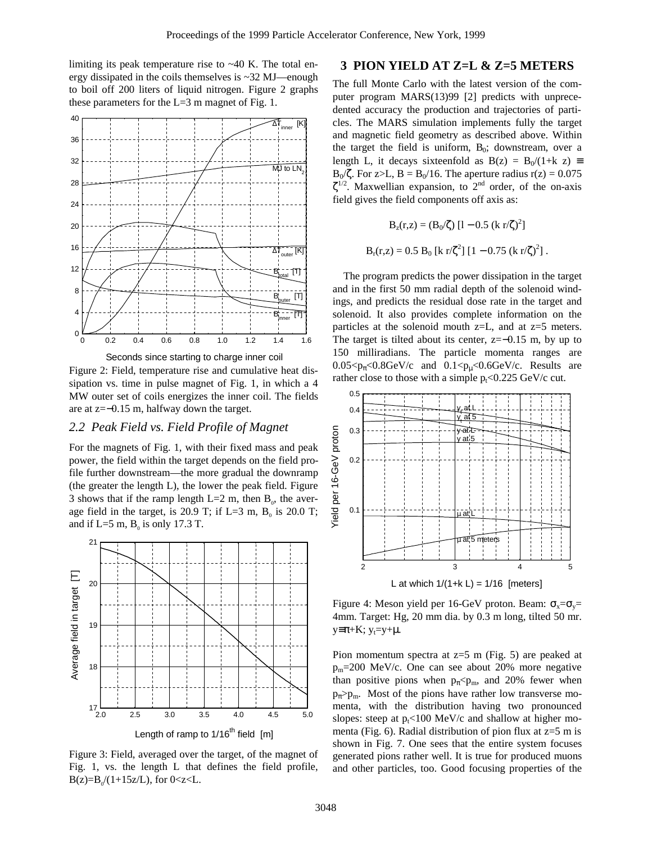limiting its peak temperature rise to ~40 K. The total energy dissipated in the coils themselves is ~32 MJ—enough to boil off 200 liters of liquid nitrogen. Figure 2 graphs these parameters for the  $L=3$  m magnet of Fig. 1.



Seconds since starting to charge inner coil

Figure 2: Field, temperature rise and cumulative heat dissipation vs. time in pulse magnet of Fig. 1, in which a 4 MW outer set of coils energizes the inner coil. The fields are at z=−0.15 m, halfway down the target.

#### *2.2 Peak Field vs. Field Profile of Magnet*

For the magnets of Fig. 1, with their fixed mass and peak power, the field within the target depends on the field profile further downstream—the more gradual the downramp (the greater the length L), the lower the peak field. Figure 3 shows that if the ramp length L=2 m, then  $B_0$ , the average field in the target, is 20.9 T; if L=3 m,  $B_0$  is 20.0 T; and if L=5 m,  $B_0$  is only 17.3 T.



Figure 3: Field, averaged over the target, of the magnet of Fig. 1, vs. the length L that defines the field profile,  $B(z)=B_0/(1+15z/L)$ , for  $0 < z < L$ .

## **3 PION YIELD AT Z=L & Z=5 METERS**

The full Monte Carlo with the latest version of the computer program MARS(13)99 [2] predicts with unprecedented accuracy the production and trajectories of particles. The MARS simulation implements fully the target and magnetic field geometry as described above. Within the target the field is uniform,  $B_0$ ; downstream, over a length L, it decays sixteenfold as  $B(z) = B_0/(1+k z) \equiv$ B<sub>0</sub>/ζ. For z>L, B = B<sub>0</sub>/16. The aperture radius r(z) = 0.075  $\zeta^{1/2}$ . Maxwellian expansion, to  $2^{nd}$  order, of the on-axis field gives the field components off axis as:

$$
B_z(r,z) = (B_0/\zeta) [1 - 0.5 (k r/\zeta)^2]
$$
  
 
$$
B_r(r,z) = 0.5 B_0 [k r/\zeta^2] [1 - 0.75 (k r/\zeta)^2].
$$

 The program predicts the power dissipation in the target and in the first 50 mm radial depth of the solenoid windings, and predicts the residual dose rate in the target and solenoid. It also provides complete information on the particles at the solenoid mouth  $z=L$ , and at  $z=5$  meters. The target is tilted about its center, z=−0.15 m, by up to 150 milliradians. The particle momenta ranges are  $0.05 < p_{\pi} < 0.8$ GeV/c and  $0.1 < p_{\mu} < 0.6$ GeV/c. Results are rather close to those with a simple  $p_t < 0.225$  GeV/c cut.



Figure 4: Meson yield per 16-GeV proton. Beam:  $\sigma_x = \sigma_y =$ 4mm. Target: Hg, 20 mm dia. by 0.3 m long, tilted 50 mr.  $y \equiv \pi + K$ ;  $y_t = y + \mu$ .

Pion momentum spectra at  $z=5$  m (Fig. 5) are peaked at  $p_m = 200$  MeV/c. One can see about 20% more negative than positive pions when  $p_{\pi}$ <pm, and 20% fewer when  $p_{\pi}$ > $p_{\text{m}}$ . Most of the pions have rather low transverse momenta, with the distribution having two pronounced slopes: steep at  $p_t$ <100 MeV/c and shallow at higher momenta (Fig. 6). Radial distribution of pion flux at  $z=5$  m is shown in Fig. 7. One sees that the entire system focuses generated pions rather well. It is true for produced muons and other particles, too. Good focusing properties of the